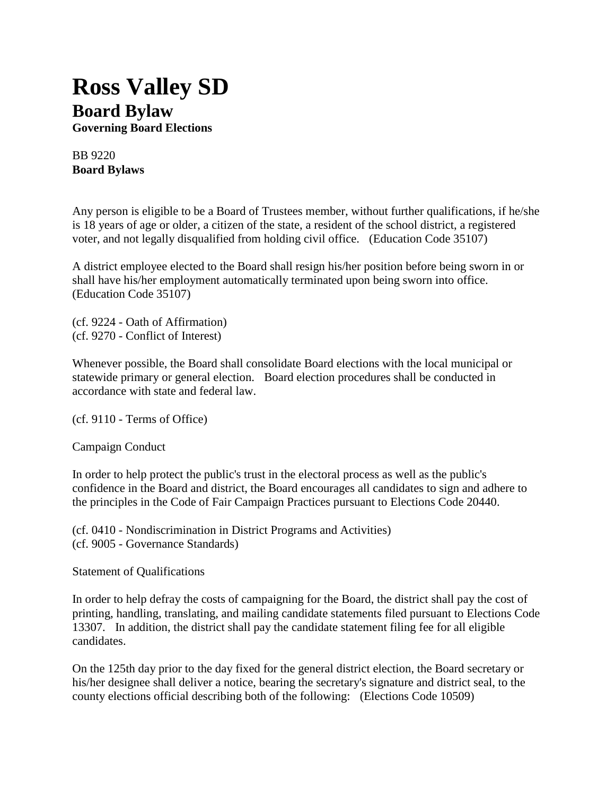## **Ross Valley SD Board Bylaw**

**Governing Board Elections**

BB 9220 **Board Bylaws**

Any person is eligible to be a Board of Trustees member, without further qualifications, if he/she is 18 years of age or older, a citizen of the state, a resident of the school district, a registered voter, and not legally disqualified from holding civil office. (Education Code 35107)

A district employee elected to the Board shall resign his/her position before being sworn in or shall have his/her employment automatically terminated upon being sworn into office. (Education Code 35107)

(cf. 9224 - Oath of Affirmation) (cf. 9270 - Conflict of Interest)

Whenever possible, the Board shall consolidate Board elections with the local municipal or statewide primary or general election. Board election procedures shall be conducted in accordance with state and federal law.

(cf. 9110 - Terms of Office)

Campaign Conduct

In order to help protect the public's trust in the electoral process as well as the public's confidence in the Board and district, the Board encourages all candidates to sign and adhere to the principles in the Code of Fair Campaign Practices pursuant to Elections Code 20440.

(cf. 0410 - Nondiscrimination in District Programs and Activities) (cf. 9005 - Governance Standards)

Statement of Qualifications

In order to help defray the costs of campaigning for the Board, the district shall pay the cost of printing, handling, translating, and mailing candidate statements filed pursuant to Elections Code 13307. In addition, the district shall pay the candidate statement filing fee for all eligible candidates.

On the 125th day prior to the day fixed for the general district election, the Board secretary or his/her designee shall deliver a notice, bearing the secretary's signature and district seal, to the county elections official describing both of the following: (Elections Code 10509)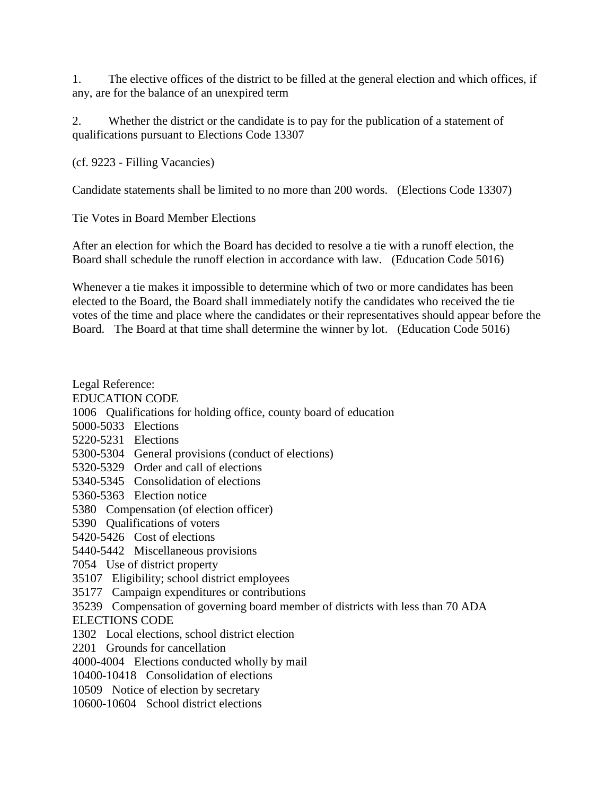1. The elective offices of the district to be filled at the general election and which offices, if any, are for the balance of an unexpired term

2. Whether the district or the candidate is to pay for the publication of a statement of qualifications pursuant to Elections Code 13307

(cf. 9223 - Filling Vacancies)

Candidate statements shall be limited to no more than 200 words. (Elections Code 13307)

Tie Votes in Board Member Elections

After an election for which the Board has decided to resolve a tie with a runoff election, the Board shall schedule the runoff election in accordance with law. (Education Code 5016)

Whenever a tie makes it impossible to determine which of two or more candidates has been elected to the Board, the Board shall immediately notify the candidates who received the tie votes of the time and place where the candidates or their representatives should appear before the Board. The Board at that time shall determine the winner by lot. (Education Code 5016)

Legal Reference: EDUCATION CODE 1006 Qualifications for holding office, county board of education 5000-5033 Elections 5220-5231 Elections 5300-5304 General provisions (conduct of elections) 5320-5329 Order and call of elections 5340-5345 Consolidation of elections 5360-5363 Election notice 5380 Compensation (of election officer) 5390 Qualifications of voters 5420-5426 Cost of elections 5440-5442 Miscellaneous provisions 7054 Use of district property 35107 Eligibility; school district employees 35177 Campaign expenditures or contributions 35239 Compensation of governing board member of districts with less than 70 ADA ELECTIONS CODE 1302 Local elections, school district election 2201 Grounds for cancellation 4000-4004 Elections conducted wholly by mail 10400-10418 Consolidation of elections 10509 Notice of election by secretary 10600-10604 School district elections